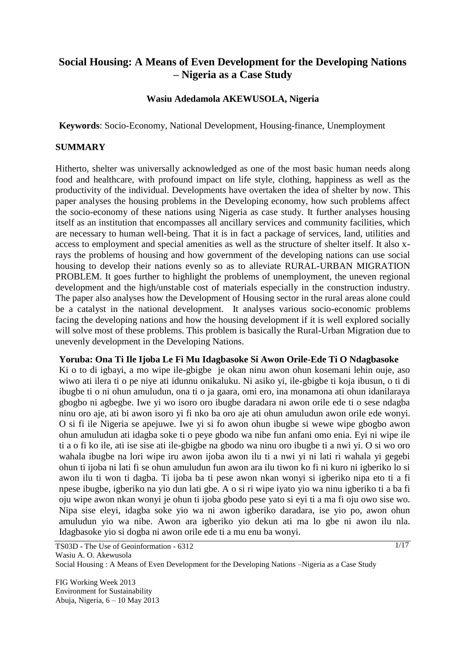# **Social Housing: A Means of Even Development for the Developing Nations – Nigeria as a Case Study**

#### **Wasiu Adedamola AKEWUSOLA, Nigeria**

**Keywords**: Socio-Economy, National Development, Housing-finance, Unemployment

#### **SUMMARY**

Hitherto, shelter was universally acknowledged as one of the most basic human needs along food and healthcare, with profound impact on life style, clothing, happiness as well as the productivity of the individual. Developments have overtaken the idea of shelter by now. This paper analyses the housing problems in the Developing economy, how such problems affect the socio-economy of these nations using Nigeria as case study. It further analyses housing itself as an institution that encompasses all ancillary services and community facilities, which are necessary to human well-being. That it is in fact a package of services, land, utilities and access to employment and special amenities as well as the structure of shelter itself. It also xrays the problems of housing and how government of the developing nations can use social housing to develop their nations evenly so as to alleviate RURAL-URBAN MIGRATION PROBLEM. It goes further to highlight the problems of unemployment, the uneven regional development and the high/unstable cost of materials especially in the construction industry. The paper also analyses how the Development of Housing sector in the rural areas alone could be a catalyst in the national development. It analyses various socio-economic problems facing the developing nations and how the housing development if it is well explored socially will solve most of these problems. This problem is basically the Rural-Urban Migration due to unevenly development in the Developing Nations.

#### **Yoruba: Ona Ti Ile Ijoba Le Fi Mu Idagbasoke Si Awon Orile-Ede Ti O Ndagbasoke**

Ki o to di igbayi, a mo wipe ile-gbigbe je okan ninu awon ohun kosemani lehin ouje, aso wiwo ati ilera ti o pe niye ati idunnu onikaluku. Ni asiko yi, ile-gbigbe ti koja ibusun, o ti di ibugbe ti o ni ohun amuludun, ona ti o ja gaara, omi ero, ina monamona ati ohun idanilaraya gbogbo ni agbegbe. Iwe yi wo isoro oro ibugbe daradara ni awon orile ede ti o sese ndagba ninu oro aje, ati bi awon isoro yi fi nko ba oro aje ati ohun amuludun awon orile ede wonyi. O si fi ile Nigeria se apejuwe. Iwe yi si fo awon ohun ibugbe si wewe wipe gbogbo awon ohun amuludun ati idagba soke ti o peye gbodo wa nibe fun anfani omo enia. Eyi ni wipe ile ti a o fi ko ile, ati ise sise ati ile-gbigbe na gbodo wa ninu oro ibugbe ti a nwi yi. O si wo oro wahala ibugbe na lori wipe iru awon ijoba awon ilu ti a nwi yi ni lati ri wahala yi gegebi ohun ti ijoba ni lati fi se ohun amuludun fun awon ara ilu tiwon ko fi ni kuro ni igberiko lo si awon ilu ti won ti dagba. Ti ijoba ba ti pese awon nkan wonyi si igberiko nipa eto ti a fi npese ibugbe, igberiko na yio dun lati gbe. A o si ri wipe iyato yio wa ninu igberiko ti a ba fi oju wipe awon nkan wonyi je ohun ti ijoba gbodo pese yato si eyi ti a ma fi oju owo sise wo. Nipa sise eleyi, idagba soke yio wa ni awon igberiko daradara, ise yio po, awon ohun amuludun yio wa nibe. Awon ara igberiko yio dekun ati ma lo gbe ni awon ilu nla. Idagbasoke yio si dogba ni awon orile ede ti a mu enu ba wonyi.

Social Housing : A Means of Even Development for the Developing Nations –Nigeria as a Case Study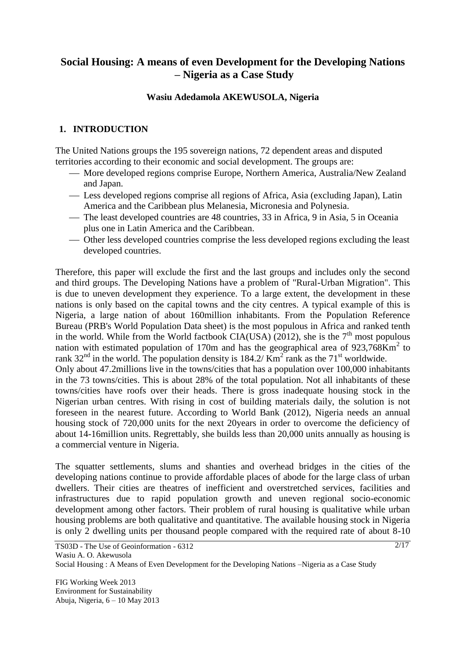# **Social Housing: A means of even Development for the Developing Nations – Nigeria as a Case Study**

### **Wasiu Adedamola AKEWUSOLA, Nigeria**

### **1. INTRODUCTION**

The United Nations groups the 195 sovereign nations, 72 dependent areas and disputed territories according to their economic and social development. The groups are:

- More developed regions comprise Europe, Northern America, Australia/New Zealand and Japan.
- Less developed regions comprise all regions of Africa, Asia (excluding Japan), Latin America and the Caribbean plus Melanesia, Micronesia and Polynesia.
- The least developed countries are 48 countries, 33 in Africa, 9 in Asia, 5 in Oceania plus one in Latin America and the Caribbean.
- Other less developed countries comprise the less developed regions excluding the least developed countries.

Therefore, this paper will exclude the first and the last groups and includes only the second and third groups. The Developing Nations have a problem of "Rural-Urban Migration". This is due to uneven development they experience. To a large extent, the development in these nations is only based on the capital towns and the city centres. A typical example of this is Nigeria, a large nation of about 160million inhabitants. From the Population Reference Bureau (PRB's World Population Data sheet) is the most populous in Africa and ranked tenth in the world. While from the World factbook CIA(USA) (2012), she is the  $7<sup>th</sup>$  most populous nation with estimated population of 170m and has the geographical area of  $923,768$ Km<sup>2</sup> to rank 32<sup>nd</sup> in the world. The population density is 184.2/  $\text{Km}^2$  rank as the 71<sup>st</sup> worldwide.

Only about 47.2millions live in the towns/cities that has a population over 100,000 inhabitants in the 73 towns/cities. This is about 28% of the total population. Not all inhabitants of these towns/cities have roofs over their heads. There is gross inadequate housing stock in the Nigerian urban centres. With rising in cost of building materials daily, the solution is not foreseen in the nearest future. According to World Bank (2012), Nigeria needs an annual housing stock of 720,000 units for the next 20years in order to overcome the deficiency of about 14-16million units. Regrettably, she builds less than 20,000 units annually as housing is a commercial venture in Nigeria.

The squatter settlements, slums and shanties and overhead bridges in the cities of the developing nations continue to provide affordable places of abode for the large class of urban dwellers. Their cities are theatres of inefficient and overstretched services, facilities and infrastructures due to rapid population growth and uneven regional socio-economic development among other factors. Their problem of rural housing is qualitative while urban housing problems are both qualitative and quantitative. The available housing stock in Nigeria is only 2 dwelling units per thousand people compared with the required rate of about 8-10

Social Housing : A Means of Even Development for the Developing Nations –Nigeria as a Case Study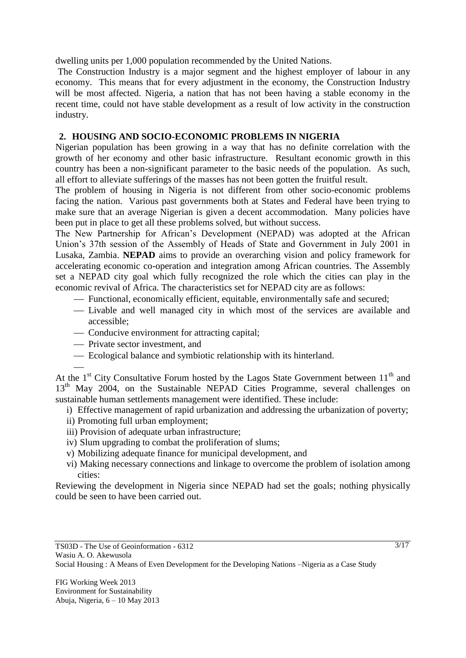dwelling units per 1,000 population recommended by the United Nations.

The Construction Industry is a major segment and the highest employer of labour in any economy. This means that for every adjustment in the economy, the Construction Industry will be most affected. Nigeria, a nation that has not been having a stable economy in the recent time, could not have stable development as a result of low activity in the construction industry.

## **2. HOUSING AND SOCIO-ECONOMIC PROBLEMS IN NIGERIA**

Nigerian population has been growing in a way that has no definite correlation with the growth of her economy and other basic infrastructure. Resultant economic growth in this country has been a non-significant parameter to the basic needs of the population. As such, all effort to alleviate sufferings of the masses has not been gotten the fruitful result.

The problem of housing in Nigeria is not different from other socio-economic problems facing the nation. Various past governments both at States and Federal have been trying to make sure that an average Nigerian is given a decent accommodation. Many policies have been put in place to get all these problems solved, but without success.

The New Partnership for African's Development (NEPAD) was adopted at the African Union's 37th session of the Assembly of Heads of State and Government in July 2001 in Lusaka, Zambia. **NEPAD** aims to provide an overarching vision and policy framework for accelerating economic co-operation and integration among African countries. The Assembly set a NEPAD city goal which fully recognized the role which the cities can play in the economic revival of Africa. The characteristics set for NEPAD city are as follows:

- Functional, economically efficient, equitable, environmentally safe and secured;
- Livable and well managed city in which most of the services are available and accessible;
- Conducive environment for attracting capital;
- Private sector investment, and

Ecological balance and symbiotic relationship with its hinterland.

At the  $1<sup>st</sup>$  City Consultative Forum hosted by the Lagos State Government between  $11<sup>th</sup>$  and 13<sup>th</sup> May 2004, on the Sustainable NEPAD Cities Programme, several challenges on sustainable human settlements management were identified. These include:

- i) Effective management of rapid urbanization and addressing the urbanization of poverty;
- ii) Promoting full urban employment;
- iii) Provision of adequate urban infrastructure;
- iv) Slum upgrading to combat the proliferation of slums;
- v) Mobilizing adequate finance for municipal development, and
- vi) Making necessary connections and linkage to overcome the problem of isolation among cities:

Reviewing the development in Nigeria since NEPAD had set the goals; nothing physically could be seen to have been carried out.

Social Housing : A Means of Even Development for the Developing Nations –Nigeria as a Case Study

TS03D - The Use of Geoinformation - 6312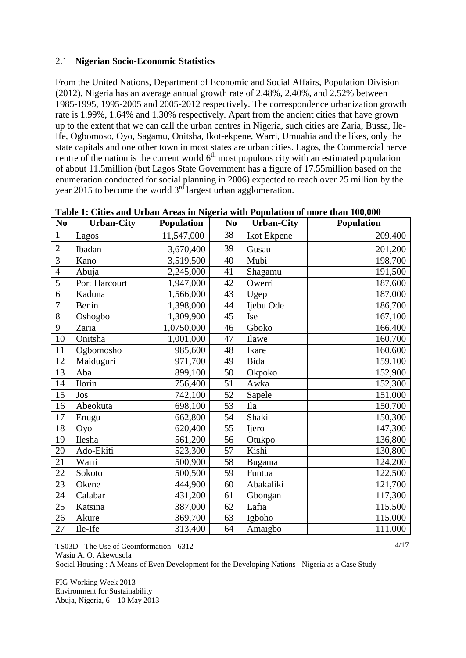### 2.1 **Nigerian Socio-Economic Statistics**

From the United Nations, Department of Economic and Social Affairs, Population Division (2012), Nigeria has an average annual growth rate of 2.48%, 2.40%, and 2.52% between 1985-1995, 1995-2005 and 2005-2012 respectively. The correspondence urbanization growth rate is 1.99%, 1.64% and 1.30% respectively. Apart from the ancient cities that have grown up to the extent that we can call the urban centres in Nigeria, such cities are Zaria, Bussa, Ile-Ife, Ogbomoso, Oyo, Sagamu, Onitsha, Ikot-ekpene, Warri, Umuahia and the likes, only the state capitals and one other town in most states are urban cities. Lagos, the Commercial nerve centre of the nation is the current world  $6<sup>th</sup>$  most populous city with an estimated population of about 11.5million (but Lagos State Government has a figure of 17.55million based on the enumeration conducted for social planning in 2006) expected to reach over 25 million by the year 2015 to become the world  $3<sup>rd</sup>$  largest urban agglomeration.

| No             | <b>Urban-City</b> | <b>Population</b> | N <sub>0</sub> | <b>Urban-City</b>                       | <b>Population</b> |
|----------------|-------------------|-------------------|----------------|-----------------------------------------|-------------------|
| $\mathbf{1}$   | Lagos             | 11,547,000        | 38             | Ikot Ekpene                             | 209,400           |
| $\overline{2}$ | Ibadan            | 3,670,400         | 39             | Gusau                                   | 201,200           |
| 3              | Kano              | 3,519,500         | 40             | Mubi                                    | 198,700           |
| $\overline{4}$ | Abuja             | 2,245,000         | 41             | Shagamu                                 | 191,500           |
| $\overline{5}$ | Port Harcourt     | 1,947,000         | 42             | Owerri                                  | 187,600           |
| 6              | Kaduna            | 1,566,000         | 43             | Ugep                                    | 187,000           |
| 7              | Benin             | 1,398,000         | 44             | Ijebu Ode                               | 186,700           |
| 8              | Oshogbo           | 1,309,900         | 45             | Ise                                     | 167,100           |
| 9              | Zaria             | 1,0750,000        | 46             | Gboko                                   | 166,400           |
| 10             | Onitsha           | 1,001,000         | 47             | Ilawe                                   | 160,700           |
| 11             | Ogbomosho         | 985,600           | 48             | Ikare                                   | 160,600           |
| 12             | Maiduguri         | 971,700           | 49             | Bida                                    | 159,100           |
| 13             | Aba               | 899,100           | 50             | Okpoko                                  | 152,900           |
| 14             | <b>Ilorin</b>     | 756,400           | 51             | Awka                                    | 152,300           |
| 15             | Jos               | 742,100           | 52             | Sapele                                  | 151,000           |
| 16             | Abeokuta          | 698,100           | 53             | $\rm I\hspace{-.1em}l\hspace{-.1em}l a$ | 150,700           |
| 17             | Enugu             | 662,800           | 54             | Shaki                                   | 150,300           |
| 18             | Oyo               | 620,400           | 55             | Ijero                                   | 147,300           |
| 19             | Ilesha            | 561,200           | 56             | Otukpo                                  | 136,800           |
| 20             | Ado-Ekiti         | 523,300           | 57             | Kishi                                   | 130,800           |
| 21             | Warri             | 500,900           | 58             | <b>Bugama</b>                           | 124,200           |
| 22             | Sokoto            | 500,500           | 59             | Funtua                                  | 122,500           |
| 23             | Okene             | 444,900           | 60             | Abakaliki                               | 121,700           |
| 24             | Calabar           | 431,200           | 61             | Gbongan                                 | 117,300           |
| 25             | Katsina           | 387,000           | 62             | Lafia                                   | 115,500           |
| 26             | Akure             | 369,700           | 63             | Igboho                                  | 115,000           |
| 27             | Ile-Ife           | 313,400           | 64             | Amaigbo                                 | 111,000           |

**Table 1: Cities and Urban Areas in Nigeria with Population of more than 100,000**

TS03D - The Use of Geoinformation - 6312 Wasiu A. O. Akewusola

Social Housing : A Means of Even Development for the Developing Nations –Nigeria as a Case Study

FIG Working Week 2013 Environment for Sustainability Abuja, Nigeria, 6 – 10 May 2013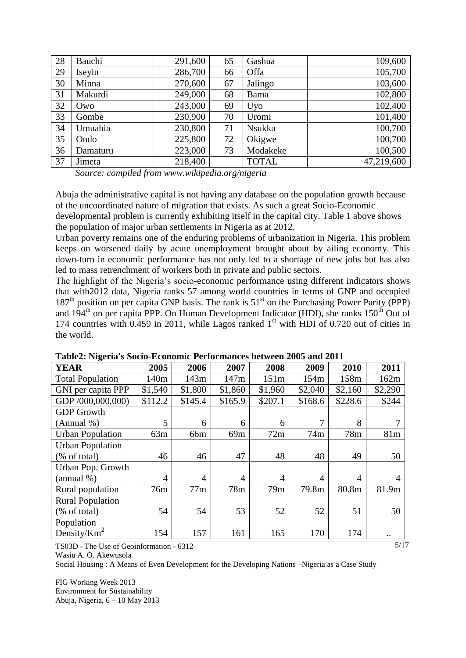| 28 | Bauchi   | 291,600 | 65 | Gashua       | 109,600    |
|----|----------|---------|----|--------------|------------|
| 29 | Iseyin   | 286,700 | 66 | Offa         | 105,700    |
| 30 | Minna    | 270,600 | 67 | Jalingo      | 103,600    |
| 31 | Makurdi  | 249,000 | 68 | <b>Bama</b>  | 102,800    |
| 32 | Owo      | 243,000 | 69 | Uyo          | 102,400    |
| 33 | Gombe    | 230,900 | 70 | Uromi        | 101,400    |
| 34 | Umuahia  | 230,800 | 71 | Nsukka       | 100,700    |
| 35 | Ondo     | 225,800 | 72 | Okigwe       | 100,700    |
| 36 | Damaturu | 223,000 | 73 | Modakeke     | 100,500    |
| 37 | Jimeta   | 218,400 |    | <b>TOTAL</b> | 47,219,600 |

*Source: compiled from www.wikipedia.org/nigeria* 

Abuja the administrative capital is not having any database on the population growth because of the uncoordinated nature of migration that exists. As such a great Socio-Economic developmental problem is currently exhibiting itself in the capital city. Table 1 above shows the population of major urban settlements in Nigeria as at 2012.

Urban poverty remains one of the enduring problems of urbanization in Nigeria. This problem keeps on worsened daily by acute unemployment brought about by ailing economy. This down-turn in economic performance has not only led to a shortage of new jobs but has also led to mass retrenchment of workers both in private and public sectors.

The highlight of the Nigeria's socio-economic performance using different indicators shows that with2012 data, Nigeria ranks 57 among world countries in terms of GNP and occupied 187<sup>th</sup> position on per capita GNP basis. The rank is 51<sup>st</sup> on the Purchasing Power Parity (PPP) and  $194<sup>th</sup>$  on per capita PPP. On Human Development Indicator (HDI), she ranks  $150<sup>th</sup>$  Out of 174 countries with 0.459 in 2011, while Lagos ranked  $1<sup>st</sup>$  with HDI of 0.720 out of cities in the world.

| 11.401                  |                  |         |                |                |         |         |         |  |
|-------------------------|------------------|---------|----------------|----------------|---------|---------|---------|--|
| YEAR                    | 2005             | 2006    | 2007           | 2008           | 2009    | 2010    | 2011    |  |
| <b>Total Population</b> | 140 <sub>m</sub> | 143m    | 147m           | 151m           | 154m    | 158m    | 162m    |  |
| GNI per capita PPP      | \$1,540          | \$1,800 | \$1,860        | \$1,960        | \$2,040 | \$2,160 | \$2,290 |  |
| GDP /000,000,000)       | \$112.2          | \$145.4 | \$165.9        | \$207.1        | \$168.6 | \$228.6 | \$244   |  |
| <b>GDP</b> Growth       |                  |         |                |                |         |         |         |  |
| (Annual %)              | 5                | 6       | 6              | 6              | 7       | 8       |         |  |
| <b>Urban Population</b> | 63m              | 66m     | 69m            | 72m            | 74m     | 78m     | 81m     |  |
| <b>Urban Population</b> |                  |         |                |                |         |         |         |  |
| (% of total)            | 46               | 46      | 47             | 48             | 48      | 49      | 50      |  |
| Urban Pop. Growth       |                  |         |                |                |         |         |         |  |
| (annual %)              | $\overline{4}$   | 4       | $\overline{4}$ | $\overline{A}$ | 4       | 4       | 4       |  |
| Rural population        | 76m              | 77m     | 78m            | 79m            | 79.8m   | 80.8m   | 81.9m   |  |
| <b>Rural Population</b> |                  |         |                |                |         |         |         |  |
| (% of total)            | 54               | 54      | 53             | 52             | 52      | 51      | 50      |  |
| Population              |                  |         |                |                |         |         |         |  |
| Density/ $Km^2$         | 154              | 157     | 161            | 165            | 170     | 174     |         |  |

|  | Table2: Nigeria's Socio-Economic Performances between 2005 and 2011 |  |  |
|--|---------------------------------------------------------------------|--|--|
|  |                                                                     |  |  |

TS03D - The Use of Geoinformation - 6312

Wasiu A. O. Akewusola

Social Housing : A Means of Even Development for the Developing Nations –Nigeria as a Case Study

FIG Working Week 2013 Environment for Sustainability Abuja, Nigeria, 6 – 10 May 2013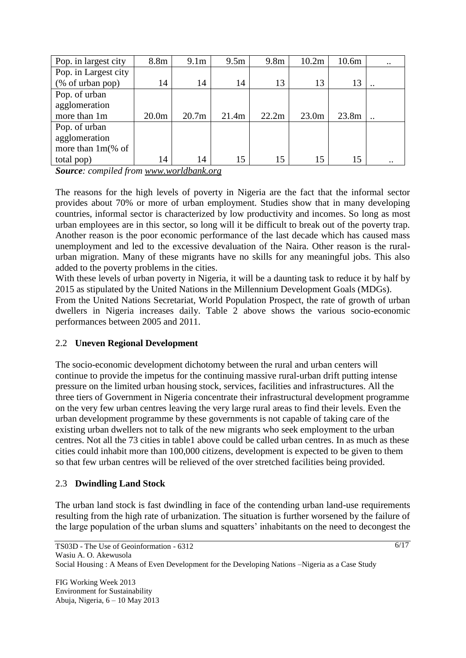| Pop. in largest city | 8.8m              | 9.1 <sub>m</sub>  | 9.5m  | 9.8 <sub>m</sub> | 10.2m             | 10.6m | $\ddotsc$ |
|----------------------|-------------------|-------------------|-------|------------------|-------------------|-------|-----------|
| Pop. in Largest city |                   |                   |       |                  |                   |       |           |
| (% of urban pop)     | 14                | 14                | 14    | 13               | 13                | 13    |           |
| Pop. of urban        |                   |                   |       |                  |                   |       |           |
| agglomeration        |                   |                   |       |                  |                   |       |           |
| more than 1m         | 20.0 <sub>m</sub> | 20.7 <sub>m</sub> | 21.4m | 22.2m            | 23.0 <sub>m</sub> | 23.8m |           |
| Pop. of urban        |                   |                   |       |                  |                   |       |           |
| agglomeration        |                   |                   |       |                  |                   |       |           |
| more than $1m\%$ of  |                   |                   |       |                  |                   |       |           |
| total pop)           | 14                | 14                | 15    | 15               | 15                | 15    |           |

*Source: compiled from [www.worldbank.org](http://www.worldbank.org/)*

The reasons for the high levels of poverty in Nigeria are the fact that the informal sector provides about 70% or more of urban employment. Studies show that in many developing countries, informal sector is characterized by low productivity and incomes. So long as most urban employees are in this sector, so long will it be difficult to break out of the poverty trap. Another reason is the poor economic performance of the last decade which has caused mass unemployment and led to the excessive devaluation of the Naira. Other reason is the ruralurban migration. Many of these migrants have no skills for any meaningful jobs. This also added to the poverty problems in the cities.

With these levels of urban poverty in Nigeria, it will be a daunting task to reduce it by half by 2015 as stipulated by the United Nations in the Millennium Development Goals (MDGs). From the United Nations Secretariat, World Population Prospect, the rate of growth of urban dwellers in Nigeria increases daily. Table 2 above shows the various socio-economic performances between 2005 and 2011.

### 2.2 **Uneven Regional Development**

The socio-economic development dichotomy between the rural and urban centers will continue to provide the impetus for the continuing massive rural-urban drift putting intense pressure on the limited urban housing stock, services, facilities and infrastructures. All the three tiers of Government in Nigeria concentrate their infrastructural development programme on the very few urban centres leaving the very large rural areas to find their levels. Even the urban development programme by these governments is not capable of taking care of the existing urban dwellers not to talk of the new migrants who seek employment to the urban centres. Not all the 73 cities in table1 above could be called urban centres. In as much as these cities could inhabit more than 100,000 citizens, development is expected to be given to them so that few urban centres will be relieved of the over stretched facilities being provided.

### 2.3 **Dwindling Land Stock**

The urban land stock is fast dwindling in face of the contending urban land-use requirements resulting from the high rate of urbanization. The situation is further worsened by the failure of the large population of the urban slums and squatters' inhabitants on the need to decongest the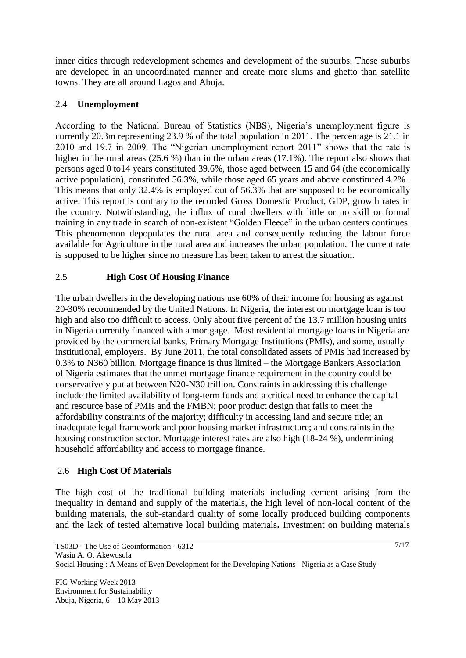inner cities through redevelopment schemes and development of the suburbs. These suburbs are developed in an uncoordinated manner and create more slums and ghetto than satellite towns. They are all around Lagos and Abuja.

### 2.4 **Unemployment**

According to the National Bureau of Statistics (NBS), Nigeria's unemployment figure is currently 20.3m representing 23.9 % of the total population in 2011. The percentage is 21.1 in 2010 and 19.7 in 2009. The "Nigerian unemployment report 2011" shows that the rate is higher in the rural areas (25.6 %) than in the urban areas (17.1%). The report also shows that persons aged 0 to14 years constituted 39.6%, those aged between 15 and 64 (the economically active population), constituted 56.3%, while those aged 65 years and above constituted 4.2% . This means that only 32.4% is employed out of 56.3% that are supposed to be economically active. This report is contrary to the recorded Gross Domestic Product, GDP, growth rates in the country. Notwithstanding, the influx of rural dwellers with little or no skill or formal training in any trade in search of non-existent "Golden Fleece" in the urban centers continues. This phenomenon depopulates the rural area and consequently reducing the labour force available for Agriculture in the rural area and increases the urban population. The current rate is supposed to be higher since no measure has been taken to arrest the situation.

### 2.5 **High Cost Of Housing Finance**

The urban dwellers in the developing nations use 60% of their income for housing as against 20-30% recommended by the United Nations. In Nigeria, the interest on mortgage loan is too high and also too difficult to access. Only about five percent of the 13.7 million housing units in Nigeria currently financed with a mortgage. Most residential mortgage loans in Nigeria are provided by the commercial banks, Primary Mortgage Institutions (PMIs), and some, usually institutional, employers. By June 2011, the total consolidated assets of PMIs had increased by 0.3% to N360 billion. Mortgage finance is thus limited – the Mortgage Bankers Association of Nigeria estimates that the unmet mortgage finance requirement in the country could be conservatively put at between N20-N30 trillion. Constraints in addressing this challenge include the limited availability of long-term funds and a critical need to enhance the capital and resource base of PMIs and the FMBN; poor product design that fails to meet the affordability constraints of the majority; difficulty in accessing land and secure title; an inadequate legal framework and poor housing market infrastructure; and constraints in the housing construction sector. Mortgage interest rates are also high (18-24 %), undermining household affordability and access to mortgage finance.

#### 2.6 **High Cost Of Materials**

The high cost of the traditional building materials including cement arising from the inequality in demand and supply of the materials, the high level of non-local content of the building materials, the sub-standard quality of some locally produced building components and the lack of tested alternative local building materials**.** Investment on building materials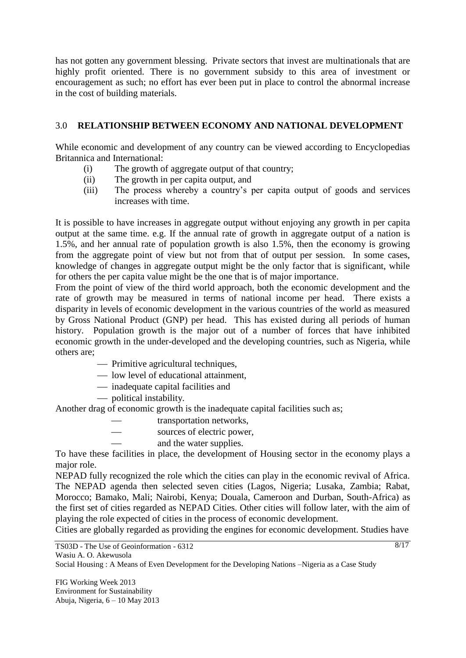has not gotten any government blessing. Private sectors that invest are multinationals that are highly profit oriented. There is no government subsidy to this area of investment or encouragement as such; no effort has ever been put in place to control the abnormal increase in the cost of building materials.

### 3.0 **RELATIONSHIP BETWEEN ECONOMY AND NATIONAL DEVELOPMENT**

While economic and development of any country can be viewed according to Encyclopedias Britannica and International:

- (i) The growth of aggregate output of that country;
- (ii) The growth in per capita output, and
- (iii) The process whereby a country's per capita output of goods and services increases with time.

It is possible to have increases in aggregate output without enjoying any growth in per capita output at the same time. e.g. If the annual rate of growth in aggregate output of a nation is 1.5%, and her annual rate of population growth is also 1.5%, then the economy is growing from the aggregate point of view but not from that of output per session. In some cases, knowledge of changes in aggregate output might be the only factor that is significant, while for others the per capita value might be the one that is of major importance.

From the point of view of the third world approach, both the economic development and the rate of growth may be measured in terms of national income per head. There exists a disparity in levels of economic development in the various countries of the world as measured by Gross National Product (GNP) per head. This has existed during all periods of human history. Population growth is the major out of a number of forces that have inhibited economic growth in the under-developed and the developing countries, such as Nigeria, while others are;

- Primitive agricultural techniques,
- low level of educational attainment,
- inadequate capital facilities and
- political instability.

Another drag of economic growth is the inadequate capital facilities such as;

- transportation networks,
- sources of electric power,
- and the water supplies.

To have these facilities in place, the development of Housing sector in the economy plays a major role.

NEPAD fully recognized the role which the cities can play in the economic revival of Africa. The NEPAD agenda then selected seven cities (Lagos, Nigeria; Lusaka, Zambia; Rabat, Morocco; Bamako, Mali; Nairobi, Kenya; Douala, Cameroon and Durban, South-Africa) as the first set of cities regarded as NEPAD Cities. Other cities will follow later, with the aim of playing the role expected of cities in the process of economic development.

Cities are globally regarded as providing the engines for economic development. Studies have

TS03D - The Use of Geoinformation - 6312 Wasiu A. O. Akewusola

Social Housing : A Means of Even Development for the Developing Nations –Nigeria as a Case Study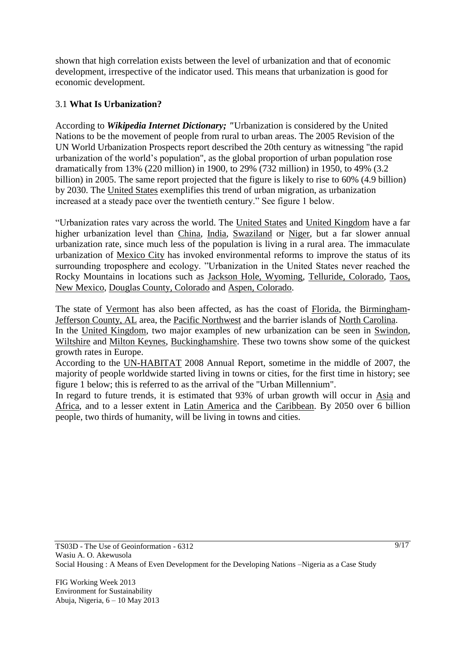shown that high correlation exists between the level of urbanization and that of economic development, irrespective of the indicator used. This means that urbanization is good for economic development.

### 3.1 **What Is Urbanization?**

According to *Wikipedia Internet Dictionary; "*Urbanization is considered by the United Nations to be the movement of people from rural to urban areas. The 2005 Revision of the UN World Urbanization Prospects report described the 20th century as witnessing "the rapid urbanization of the world's population", as the global proportion of urban population rose dramatically from 13% (220 million) in 1900, to 29% (732 million) in 1950, to 49% (3.2 billion) in 2005. The same report projected that the figure is likely to rise to 60% (4.9 billion) by 2030. The [United States](http://en.wikipedia.org/wiki/United_States) exemplifies this trend of urban migration, as urbanization increased at a steady pace over the twentieth century." See figure 1 below.

"Urbanization rates vary across the world. The [United States](http://en.wikipedia.org/wiki/United_States) and [United Kingdom](http://en.wikipedia.org/wiki/United_Kingdom) have a far higher urbanization level than [China,](http://en.wikipedia.org/wiki/China) [India,](http://en.wikipedia.org/wiki/India) [Swaziland](http://en.wikipedia.org/wiki/Swaziland) or [Niger,](http://en.wikipedia.org/wiki/Niger) but a far slower annual urbanization rate, since much less of the population is living in a rural area. The immaculate urbanization of [Mexico City](http://en.wikipedia.org/wiki/Mexico_City) has invoked environmental reforms to improve the status of its surrounding troposphere and ecology. "Urbanization in the United States never reached the Rocky Mountains in locations such as [Jackson Hole, Wyoming,](http://en.wikipedia.org/wiki/Jackson_Hole,_Wyoming) [Telluride, Colorado,](http://en.wikipedia.org/wiki/Telluride,_Colorado) [Taos,](http://en.wikipedia.org/wiki/Taos,_New_Mexico)  [New Mexico,](http://en.wikipedia.org/wiki/Taos,_New_Mexico) [Douglas County, Colorado](http://en.wikipedia.org/wiki/Douglas_County,_Colorado) and [Aspen, Colorado.](http://en.wikipedia.org/wiki/Aspen,_Colorado)

The state of <u>Vermont</u> has also been affected, as has the coast of [Florida,](http://en.wikipedia.org/wiki/Florida) the [Birmingham-](http://en.wikipedia.org/wiki/Birmingham,_Alabama)[Jefferson County, AL](http://en.wikipedia.org/wiki/Jefferson_County,_AL) area, the [Pacific Northwest](http://en.wikipedia.org/wiki/Pacific_Northwest) and the barrier islands of [North Carolina.](http://en.wikipedia.org/wiki/North_Carolina) In the [United Kingdom,](http://en.wikipedia.org/wiki/United_Kingdom) two major examples of new urbanization can be seen in [Swindon,](http://en.wikipedia.org/wiki/Swindon) [Wiltshire](http://en.wikipedia.org/wiki/Wiltshire) and [Milton Keynes,](http://en.wikipedia.org/wiki/Milton_Keynes) [Buckinghamshire.](http://en.wikipedia.org/wiki/Buckinghamshire) These two towns show some of the quickest growth rates in Europe.

According to the [UN-HABITAT](http://en.wikipedia.org/wiki/UN-HABITAT) 2008 Annual Report, sometime in the middle of 2007, the majority of people worldwide started living in towns or cities, for the first time in history; see figure 1 below; this is referred to as the arrival of the "Urban Millennium".

In regard to future trends, it is estimated that 93% of urban growth will occur in [Asia](http://en.wikipedia.org/wiki/Asia) and [Africa,](http://en.wikipedia.org/wiki/Africa) and to a lesser extent in [Latin America](http://en.wikipedia.org/wiki/Latin_America) and the [Caribbean.](http://en.wikipedia.org/wiki/Caribbean) By 2050 over 6 billion people, two thirds of humanity, will be living in towns and cities.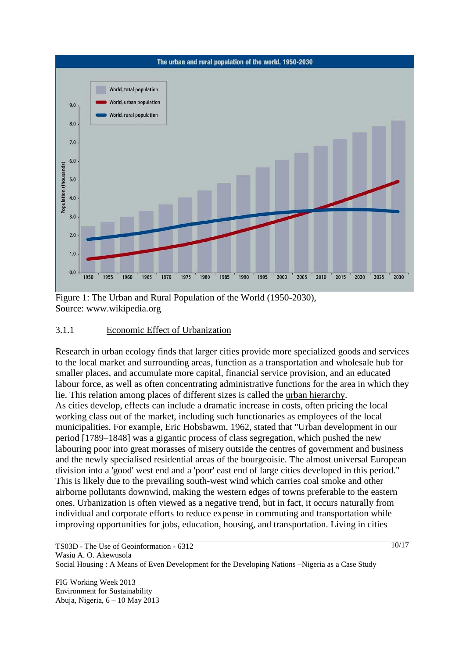

Figure 1: The Urban and Rural Population of the World (1950-2030), Source: [www.wikipedia.org](http://www.wikipedia.org/)

### 3.1.1 Economic Effect of Urbanization

Research in [urban ecology](http://en.wikipedia.org/wiki/Urban_ecology) finds that larger cities provide more specialized goods and services to the local market and surrounding areas, function as a transportation and wholesale hub for smaller places, and accumulate more capital, financial service provision, and an educated labour force, as well as often concentrating administrative functions for the area in which they lie. This relation among places of different sizes is called the [urban hierarchy.](http://en.wikipedia.org/wiki/Urban_hierarchy) As cities develop, effects can include a dramatic increase in costs, often pricing the local [working class](http://en.wikipedia.org/wiki/Working_class) out of the market, including such functionaries as employees of the local municipalities. For example, Eric Hobsbawm, 1962, stated that "Urban development in our period [1789–1848] was a gigantic process of class segregation, which pushed the new labouring poor into great morasses of misery outside the centres of government and business and the newly specialised residential areas of the bourgeoisie. The almost universal European division into a 'good' west end and a 'poor' east end of large cities developed in this period." This is likely due to the prevailing south-west wind which carries coal smoke and other airborne pollutants downwind, making the western edges of towns preferable to the eastern ones. Urbanization is often viewed as a negative trend, but in fact, it occurs naturally from individual and corporate efforts to reduce expense in commuting and transportation while improving opportunities for jobs, education, housing, and transportation. Living in cities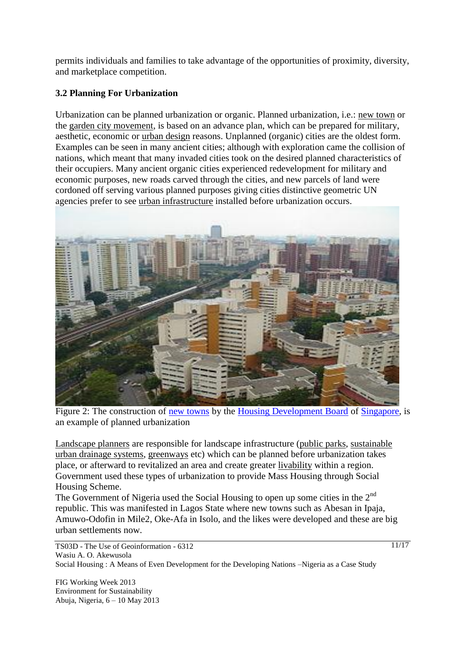permits individuals and families to take advantage of the opportunities of proximity, diversity, and marketplace competition.

# **3.2 Planning For Urbanization**

Urbanization can be planned urbanization or organic. Planned urbanization, i.e.: [new town](http://en.wikipedia.org/wiki/New_town) or the [garden city movement,](http://en.wikipedia.org/wiki/Garden_city_movement) is based on an advance plan, which can be prepared for military, aesthetic, economic or [urban design](http://en.wikipedia.org/wiki/Urban_design) reasons. Unplanned (organic) cities are the oldest form. Examples can be seen in many ancient cities; although with exploration came the collision of nations, which meant that many invaded cities took on the desired planned characteristics of their occupiers. Many ancient organic cities experienced redevelopment for military and economic purposes, new roads carved through the cities, and new parcels of land were cordoned off serving various planned purposes giving cities distinctive geometric UN agencies prefer to see [urban infrastructure](http://en.wikipedia.org/wiki/Infrastructure) installed before urbanization occurs.



Figure 2: The construction of [new towns](http://en.wikipedia.org/wiki/New_town) by the [Housing Development Board](http://en.wikipedia.org/wiki/Housing_Development_Board) of [Singapore,](http://en.wikipedia.org/wiki/Singapore) is an example of planned urbanization

[Landscape planners](http://en.wikipedia.org/wiki/Landscape_planning) are responsible for landscape infrastructure [\(public parks,](http://en.wikipedia.org/wiki/Public_park) [sustainable](http://en.wikipedia.org/wiki/Sustainable_urban_drainage_systems)  [urban drainage systems,](http://en.wikipedia.org/wiki/Sustainable_urban_drainage_systems) [greenways](http://en.wikipedia.org/wiki/Greenways) etc) which can be planned before urbanization takes place, or afterward to revitalized an area and create greater [livability](http://en.wikipedia.org/wiki/Livability) within a region. Government used these types of urbanization to provide Mass Housing through Social Housing Scheme.

The Government of Nigeria used the Social Housing to open up some cities in the  $2<sup>nd</sup>$ republic. This was manifested in Lagos State where new towns such as Abesan in Ipaja, Amuwo-Odofin in Mile2, Oke-Afa in Isolo, and the likes were developed and these are big urban settlements now.

TS03D - The Use of Geoinformation - 6312 Wasiu A. O. Akewusola Social Housing : A Means of Even Development for the Developing Nations –Nigeria as a Case Study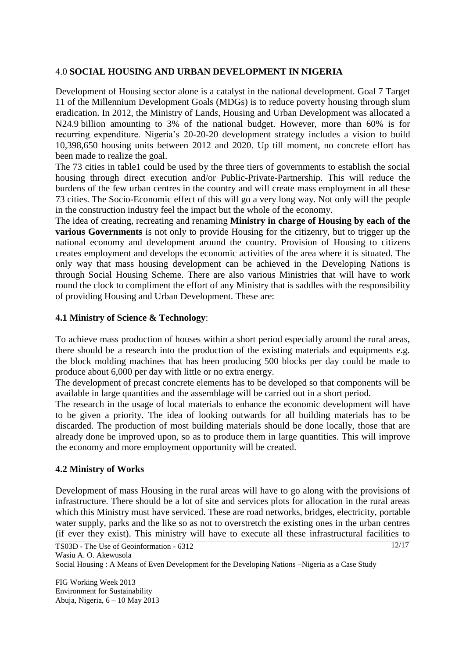### 4.0 **SOCIAL HOUSING AND URBAN DEVELOPMENT IN NIGERIA**

Development of Housing sector alone is a catalyst in the national development. Goal 7 Target 11 of the Millennium Development Goals (MDGs) is to reduce poverty housing through slum eradication. In 2012, the Ministry of Land*s*, Housing and Urban Development was allocated a N24.9 billion amounting to 3% of the national budget. However, more than 60% is for recurring expenditure. Nigeria's 20-20-20 development strategy includes a vision to build 10,398,650 housing units between 2012 and 2020. Up till moment, no concrete effort has been made to realize the goal.

The 73 cities in table1 could be used by the three tiers of governments to establish the social housing through direct execution and/or Public-Private-Partnership. This will reduce the burdens of the few urban centres in the country and will create mass employment in all these 73 cities. The Socio-Economic effect of this will go a very long way. Not only will the people in the construction industry feel the impact but the whole of the economy.

The idea of creating, recreating and renaming **Ministry in charge of Housing by each of the various Governments** is not only to provide Housing for the citizenry, but to trigger up the national economy and development around the country. Provision of Housing to citizens creates employment and develops the economic activities of the area where it is situated. The only way that mass housing development can be achieved in the Developing Nations is through Social Housing Scheme. There are also various Ministries that will have to work round the clock to compliment the effort of any Ministry that is saddles with the responsibility of providing Housing and Urban Development. These are:

### **4.1 Ministry of Science & Technology**:

To achieve mass production of houses within a short period especially around the rural areas, there should be a research into the production of the existing materials and equipments e.g. the block molding machines that has been producing 500 blocks per day could be made to produce about 6,000 per day with little or no extra energy.

The development of precast concrete elements has to be developed so that components will be available in large quantities and the assemblage will be carried out in a short period.

The research in the usage of local materials to enhance the economic development will have to be given a priority. The idea of looking outwards for all building materials has to be discarded. The production of most building materials should be done locally, those that are already done be improved upon, so as to produce them in large quantities. This will improve the economy and more employment opportunity will be created.

#### **4.2 Ministry of Works**

Development of mass Housing in the rural areas will have to go along with the provisions of infrastructure. There should be a lot of site and services plots for allocation in the rural areas which this Ministry must have serviced. These are road networks, bridges, electricity, portable water supply, parks and the like so as not to overstretch the existing ones in the urban centres (if ever they exist). This ministry will have to execute all these infrastructural facilities to

TS03D - The Use of Geoinformation - 6312 Wasiu A. O. Akewusola Social Housing : A Means of Even Development for the Developing Nations –Nigeria as a Case Study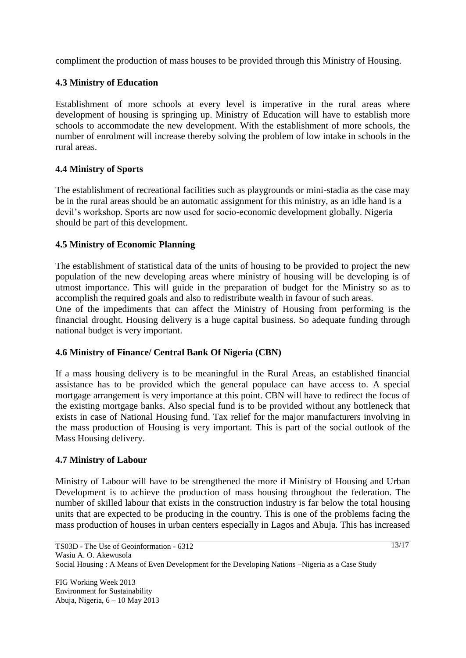compliment the production of mass houses to be provided through this Ministry of Housing.

### **4.3 Ministry of Education**

Establishment of more schools at every level is imperative in the rural areas where development of housing is springing up. Ministry of Education will have to establish more schools to accommodate the new development. With the establishment of more schools, the number of enrolment will increase thereby solving the problem of low intake in schools in the rural areas.

### **4.4 Ministry of Sports**

The establishment of recreational facilities such as playgrounds or mini-stadia as the case may be in the rural areas should be an automatic assignment for this ministry, as an idle hand is a devil's workshop. Sports are now used for socio-economic development globally. Nigeria should be part of this development.

## **4.5 Ministry of Economic Planning**

The establishment of statistical data of the units of housing to be provided to project the new population of the new developing areas where ministry of housing will be developing is of utmost importance. This will guide in the preparation of budget for the Ministry so as to accomplish the required goals and also to redistribute wealth in favour of such areas.

One of the impediments that can affect the Ministry of Housing from performing is the financial drought. Housing delivery is a huge capital business. So adequate funding through national budget is very important.

### **4.6 Ministry of Finance/ Central Bank Of Nigeria (CBN)**

If a mass housing delivery is to be meaningful in the Rural Areas, an established financial assistance has to be provided which the general populace can have access to. A special mortgage arrangement is very importance at this point. CBN will have to redirect the focus of the existing mortgage banks. Also special fund is to be provided without any bottleneck that exists in case of National Housing fund. Tax relief for the major manufacturers involving in the mass production of Housing is very important. This is part of the social outlook of the Mass Housing delivery.

### **4.7 Ministry of Labour**

Ministry of Labour will have to be strengthened the more if Ministry of Housing and Urban Development is to achieve the production of mass housing throughout the federation. The number of skilled labour that exists in the construction industry is far below the total housing units that are expected to be producing in the country. This is one of the problems facing the mass production of houses in urban centers especially in Lagos and Abuja. This has increased

FIG Working Week 2013 Environment for Sustainability Abuja, Nigeria, 6 – 10 May 2013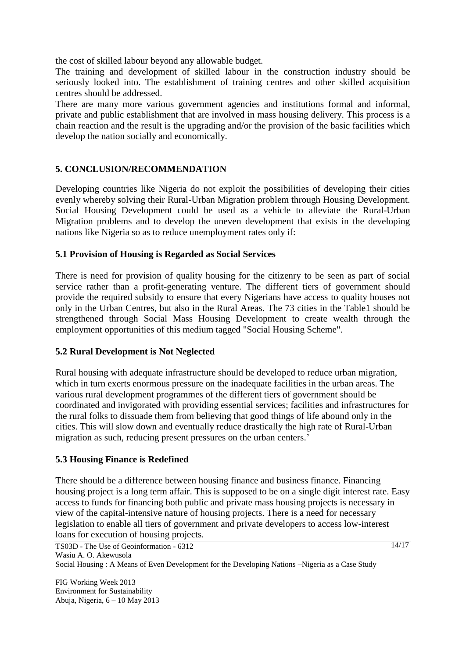the cost of skilled labour beyond any allowable budget.

The training and development of skilled labour in the construction industry should be seriously looked into. The establishment of training centres and other skilled acquisition centres should be addressed.

There are many more various government agencies and institutions formal and informal, private and public establishment that are involved in mass housing delivery. This process is a chain reaction and the result is the upgrading and/or the provision of the basic facilities which develop the nation socially and economically.

### **5. CONCLUSION/RECOMMENDATION**

Developing countries like Nigeria do not exploit the possibilities of developing their cities evenly whereby solving their Rural-Urban Migration problem through Housing Development. Social Housing Development could be used as a vehicle to alleviate the Rural-Urban Migration problems and to develop the uneven development that exists in the developing nations like Nigeria so as to reduce unemployment rates only if:

### **5.1 Provision of Housing is Regarded as Social Services**

There is need for provision of quality housing for the citizenry to be seen as part of social service rather than a profit-generating venture. The different tiers of government should provide the required subsidy to ensure that every Nigerians have access to quality houses not only in the Urban Centres, but also in the Rural Areas. The 73 cities in the Table1 should be strengthened through Social Mass Housing Development to create wealth through the employment opportunities of this medium tagged "Social Housing Scheme".

### **5.2 Rural Development is Not Neglected**

Rural housing with adequate infrastructure should be developed to reduce urban migration, which in turn exerts enormous pressure on the inadequate facilities in the urban areas. The various rural development programmes of the different tiers of government should be coordinated and invigorated with providing essential services; facilities and infrastructures for the rural folks to dissuade them from believing that good things of life abound only in the cities. This will slow down and eventually reduce drastically the high rate of Rural-Urban migration as such, reducing present pressures on the urban centers.'

### **5.3 Housing Finance is Redefined**

There should be a difference between housing finance and business finance. Financing housing project is a long term affair. This is supposed to be on a single digit interest rate. Easy access to funds for financing both public and private mass housing projects is necessary in view of the capital-intensive nature of housing projects. There is a need for necessary legislation to enable all tiers of government and private developers to access low-interest loans for execution of housing projects.

TS03D - The Use of Geoinformation - 6312 Wasiu A. O. Akewusola Social Housing : A Means of Even Development for the Developing Nations –Nigeria as a Case Study

FIG Working Week 2013 Environment for Sustainability Abuja, Nigeria, 6 – 10 May 2013  $\frac{14}{17}$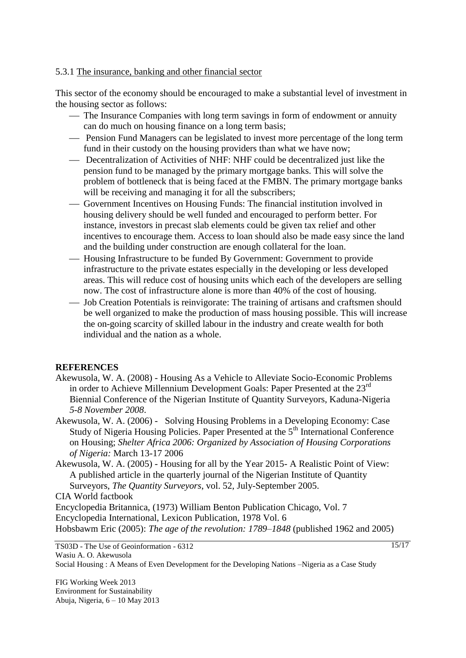#### 5.3.1 The insurance, banking and other financial sector

This sector of the economy should be encouraged to make a substantial level of investment in the housing sector as follows:

- The Insurance Companies with long term savings in form of endowment or annuity can do much on housing finance on a long term basis;
- Pension Fund Managers can be legislated to invest more percentage of the long term fund in their custody on the housing providers than what we have now;
- Decentralization of Activities of NHF: NHF could be decentralized just like the pension fund to be managed by the primary mortgage banks. This will solve the problem of bottleneck that is being faced at the FMBN. The primary mortgage banks will be receiving and managing it for all the subscribers;
- Government Incentives on Housing Funds: The financial institution involved in housing delivery should be well funded and encouraged to perform better. For instance, investors in precast slab elements could be given tax relief and other incentives to encourage them. Access to loan should also be made easy since the land and the building under construction are enough collateral for the loan.
- Housing Infrastructure to be funded By Government: Government to provide infrastructure to the private estates especially in the developing or less developed areas. This will reduce cost of housing units which each of the developers are selling now. The cost of infrastructure alone is more than 40% of the cost of housing.
- Job Creation Potentials is reinvigorate: The training of artisans and craftsmen should be well organized to make the production of mass housing possible. This will increase the on-going scarcity of skilled labour in the industry and create wealth for both individual and the nation as a whole.

#### **REFERENCES**

- Akewusola, W. A. (2008) Housing As a Vehicle to Alleviate Socio-Economic Problems in order to Achieve Millennium Development Goals: Paper Presented at the 23<sup>rd</sup> Biennial Conference of the Nigerian Institute of Quantity Surveyors, Kaduna-Nigeria  *5-8 November 2008*.
- Akewusola, W. A. (2006) Solving Housing Problems in a Developing Economy: Case Study of Nigeria Housing Policies. Paper Presented at the 5<sup>th</sup> International Conference on Housing; *Shelter Africa 2006: Organized by Association of Housing Corporations of Nigeria:* March 13-17 2006
- Akewusola, W. A. (2005) Housing for all by the Year 2015- A Realistic Point of View: A published article in the quarterly journal of the Nigerian Institute of Quantity Surveyors, *The Quantity Surveyors*, vol. 52, July-September 2005.

CIA World factbook

Encyclopedia Britannica, (1973) William Benton Publication Chicago, Vol. 7 Encyclopedia International, Lexicon Publication, 1978 Vol. 6 Hobsbawm Eric (2005): *The age of the revolution: 1789–1848* (published 1962 and 2005)

TS03D - The Use of Geoinformation - 6312 Wasiu A. O. Akewusola Social Housing : A Means of Even Development for the Developing Nations –Nigeria as a Case Study

FIG Working Week 2013 Environment for Sustainability Abuja, Nigeria, 6 – 10 May 2013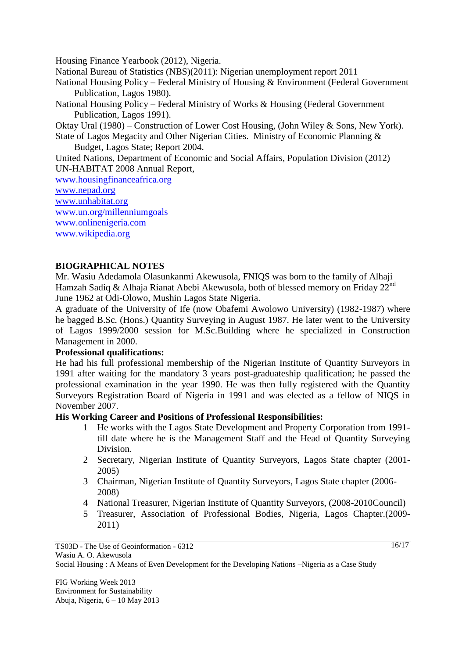Housing Finance Yearbook (2012), Nigeria.

National Bureau of Statistics (NBS)(2011): Nigerian unemployment report 2011

National Housing Policy – Federal Ministry of Housing & Environment (Federal Government Publication, Lagos 1980).

National Housing Policy – Federal Ministry of Works & Housing (Federal Government Publication, Lagos 1991).

Oktay Ural (1980) – Construction of Lower Cost Housing, (John Wiley & Sons, New York).

State of Lagos Megacity and Other Nigerian Cities. Ministry of Economic Planning & Budget, Lagos State; Report 2004.

United Nations, Department of Economic and Social Affairs, Population Division (2012) [UN-HABITAT](http://en.wikipedia.org/wiki/UN-HABITAT) 2008 Annual Report,

[www.housingfinanceafrica.org](http://www.housingfinanceafrica.org/) [www.nepad.org](http://www.nepad.org/)

[www.unhabitat.org](http://www.unhabitat.org/)

[www.un.org/millenniumgoals](http://www.un.org/millenniumgoals)

[www.onlinenigeria.com](http://www.onlinenigeria.com/) 

[www.wikipedia.org](http://www.wikipedia.org/)

## **BIOGRAPHICAL NOTES**

Mr. Wasiu Adedamola Olasunkanmi Akewusola, FNIQS was born to the family of Alhaji Hamzah Sadiq & Alhaja Rianat Abebi Akewusola, both of blessed memory on Friday 22<sup>nd</sup> June 1962 at Odi-Olowo, Mushin Lagos State Nigeria.

A graduate of the University of Ife (now Obafemi Awolowo University) (1982-1987) where he bagged B.Sc. (Hons.) Quantity Surveying in August 1987. He later went to the University of Lagos 1999/2000 session for M.Sc.Building where he specialized in Construction Management in 2000.

### **Professional qualifications:**

He had his full professional membership of the Nigerian Institute of Quantity Surveyors in 1991 after waiting for the mandatory 3 years post-graduateship qualification; he passed the professional examination in the year 1990. He was then fully registered with the Quantity Surveyors Registration Board of Nigeria in 1991 and was elected as a fellow of NIQS in November 2007.

### **His Working Career and Positions of Professional Responsibilities:**

- 1 He works with the Lagos State Development and Property Corporation from 1991 till date where he is the Management Staff and the Head of Quantity Surveying Division.
- 2 Secretary, Nigerian Institute of Quantity Surveyors, Lagos State chapter (2001- 2005)
- 3 Chairman, Nigerian Institute of Quantity Surveyors, Lagos State chapter (2006- 2008)
- 4 National Treasurer, Nigerian Institute of Quantity Surveyors, (2008-2010Council)
- 5 Treasurer, Association of Professional Bodies, Nigeria, Lagos Chapter.(2009- 2011)

TS03D - The Use of Geoinformation - 6312 Wasiu A. O. Akewusola Social Housing : A Means of Even Development for the Developing Nations –Nigeria as a Case Study